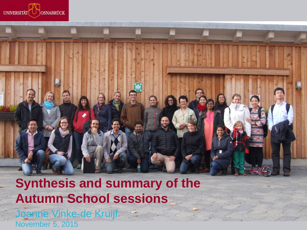

#### **Synthesis and summary of the Autumn School sessions**

Joanne Vinke-de Kruijf November 5, 2015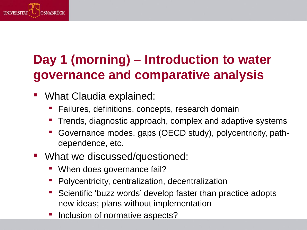

### **Day 1 (morning) – Introduction to water governance and comparative analysis**

- What Claudia explained:
	- Failures, definitions, concepts, research domain
	- Trends, diagnostic approach, complex and adaptive systems
	- Governance modes, gaps (OECD study), polycentricity, pathdependence, etc.
- What we discussed/questioned:
	- When does governance fail?
	- Polycentricity, centralization, decentralization
	- Scientific 'buzz words' develop faster than practice adopts new ideas; plans without implementation
	- Inclusion of normative aspects?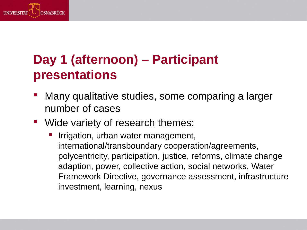

### **Day 1 (afternoon) – Participant presentations**

- Many qualitative studies, some comparing a larger number of cases
- **Wide variety of research themes:** 
	- Irrigation, urban water management, international/transboundary cooperation/agreements, polycentricity, participation, justice, reforms, climate change adaption, power, collective action, social networks, Water Framework Directive, governance assessment, infrastructure investment, learning, nexus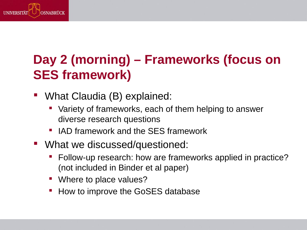

## **Day 2 (morning) – Frameworks (focus on SES framework)**

- What Claudia (B) explained:
	- Variety of frameworks, each of them helping to answer diverse research questions
	- IAD framework and the SES framework
- What we discussed/questioned:
	- Follow-up research: how are frameworks applied in practice? (not included in Binder et al paper)
	- **Where to place values?**
	- How to improve the GoSES database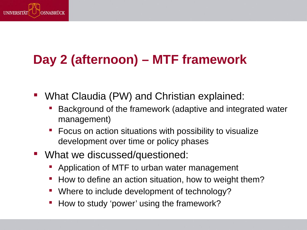

## **Day 2 (afternoon) – MTF framework**

- What Claudia (PW) and Christian explained:
	- Background of the framework (adaptive and integrated water management)
	- Focus on action situations with possibility to visualize development over time or policy phases
- **What we discussed/questioned:** 
	- Application of MTF to urban water management
	- How to define an action situation, how to weight them?
	- Where to include development of technology?
	- How to study 'power' using the framework?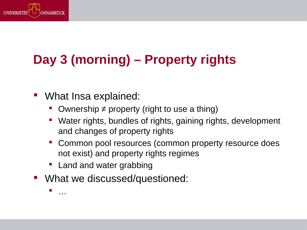

# **Day 3 (morning) – Property rights**

- **What Insa explained:** 
	- Ownership  $\neq$  property (right to use a thing)
	- Water rights, bundles of rights, gaining rights, development and changes of property rights
	- Common pool resources (common property resource does not exist) and property rights regimes
	- **Land and water grabbing**
- What we discussed/questioned:

…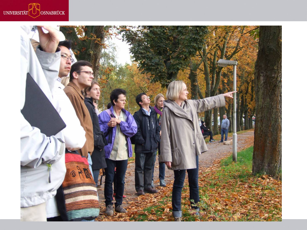

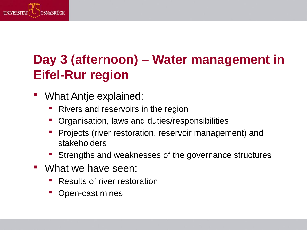

## **Day 3 (afternoon) – Water management in Eifel-Rur region**

- What Antje explained:
	- Rivers and reservoirs in the region
	- Organisation, laws and duties/responsibilities
	- Projects (river restoration, reservoir management) and stakeholders
	- Strengths and weaknesses of the governance structures
- What we have seen:
	- Results of river restoration
	- Open-cast mines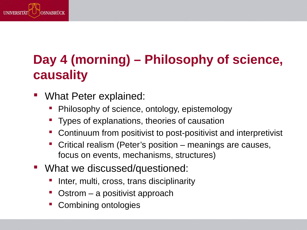

# **Day 4 (morning) – Philosophy of science, causality**

- What Peter explained:
	- Philosophy of science, ontology, epistemology
	- Types of explanations, theories of causation
	- Continuum from positivist to post-positivist and interpretivist
	- Critical realism (Peter's position meanings are causes, focus on events, mechanisms, structures)
- What we discussed/questioned:
	- Inter, multi, cross, trans disciplinarity
	- Ostrom a positivist approach
	- Combining ontologies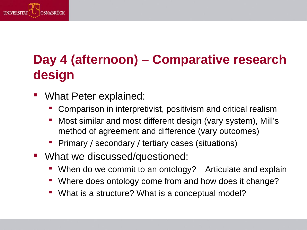

# **Day 4 (afternoon) – Comparative research design**

- What Peter explained:
	- Comparison in interpretivist, positivism and critical realism
	- Most similar and most different design (vary system), Mill's method of agreement and difference (vary outcomes)
	- Primary / secondary / tertiary cases (situations)
- What we discussed/questioned:
	- When do we commit to an ontology? Articulate and explain
	- Where does ontology come from and how does it change?
	- What is a structure? What is a conceptual model?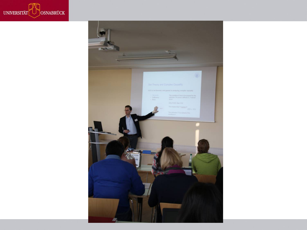

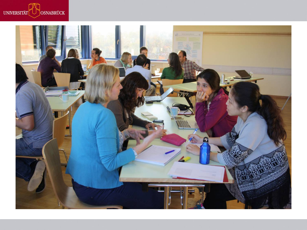

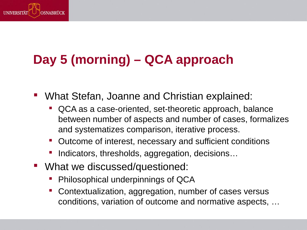

# **Day 5 (morning) – QCA approach**

- What Stefan, Joanne and Christian explained:
	- QCA as a case-oriented, set-theoretic approach, balance between number of aspects and number of cases, formalizes and systematizes comparison, iterative process.
	- Outcome of interest, necessary and sufficient conditions
	- Indicators, thresholds, aggregation, decisions…
- What we discussed/questioned:
	- Philosophical underpinnings of QCA
	- Contextualization, aggregation, number of cases versus conditions, variation of outcome and normative aspects, …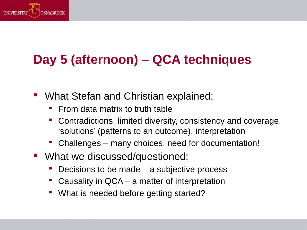

## **Day 5 (afternoon) – QCA techniques**

- What Stefan and Christian explained:
	- From data matrix to truth table
	- Contradictions, limited diversity, consistency and coverage, 'solutions' (patterns to an outcome), interpretation
	- Challenges many choices, need for documentation!
- What we discussed/questioned:
	- Decisions to be made a subjective process
	- Causality in QCA a matter of interpretation
	- **What is needed before getting started?**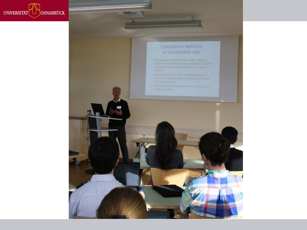

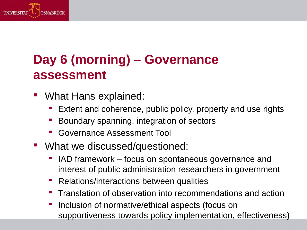

### **Day 6 (morning) – Governance assessment**

- What Hans explained:
	- Extent and coherence, public policy, property and use rights
	- Boundary spanning, integration of sectors
	- Governance Assessment Tool
- **What we discussed/questioned:** 
	- IAD framework focus on spontaneous governance and interest of public administration researchers in government
	- Relations/interactions between qualities
	- Translation of observation into recommendations and action
	- Inclusion of normative/ethical aspects (focus on supportiveness towards policy implementation, effectiveness)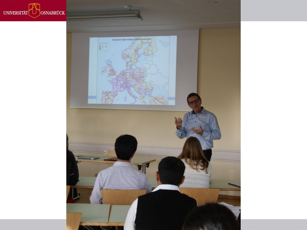

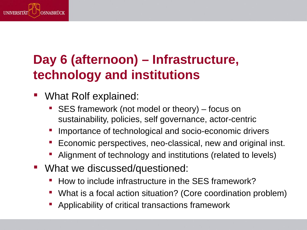

## **Day 6 (afternoon) – Infrastructure, technology and institutions**

- What Rolf explained:
	- SES framework (not model or theory) focus on sustainability, policies, self governance, actor-centric
	- Importance of technological and socio-economic drivers
	- Economic perspectives, neo-classical, new and original inst.
	- Alignment of technology and institutions (related to levels)
- What we discussed/questioned:
	- How to include infrastructure in the SES framework?
	- What is a focal action situation? (Core coordination problem)
	- Applicability of critical transactions framework